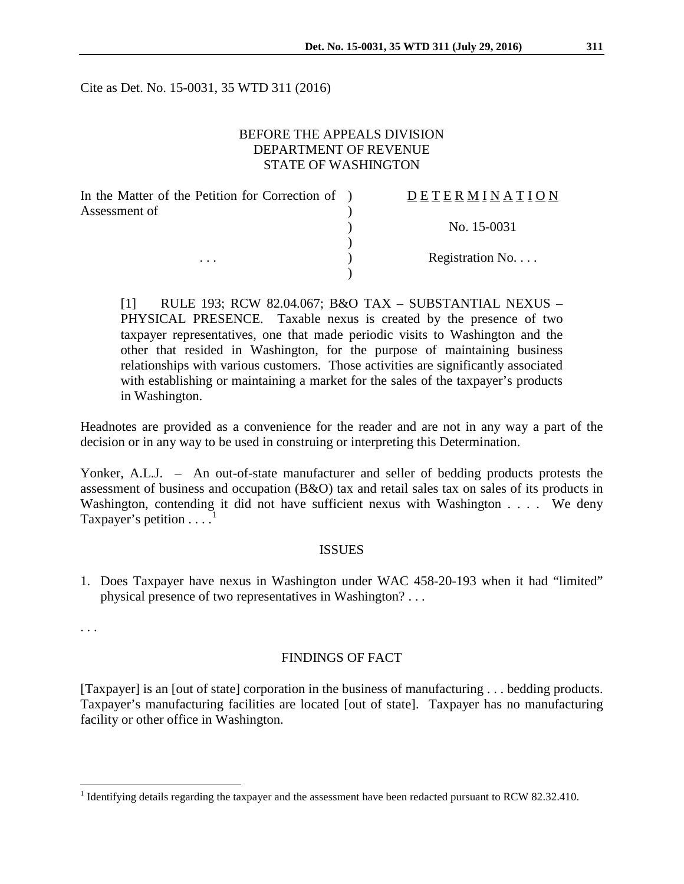Cite as Det. No. 15-0031, 35 WTD 311 (2016)

## BEFORE THE APPEALS DIVISION DEPARTMENT OF REVENUE STATE OF WASHINGTON

| In the Matter of the Petition for Correction of ) | DETERMINATION   |
|---------------------------------------------------|-----------------|
| Assessment of<br>$\cdots$                         |                 |
|                                                   | No. 15-0031     |
|                                                   |                 |
|                                                   | Registration No |
|                                                   |                 |

[1] RULE 193; RCW 82.04.067; B&O TAX – SUBSTANTIAL NEXUS – PHYSICAL PRESENCE. Taxable nexus is created by the presence of two taxpayer representatives, one that made periodic visits to Washington and the other that resided in Washington, for the purpose of maintaining business relationships with various customers. Those activities are significantly associated with establishing or maintaining a market for the sales of the taxpayer's products in Washington.

Headnotes are provided as a convenience for the reader and are not in any way a part of the decision or in any way to be used in construing or interpreting this Determination.

Yonker, A.L.J. – An out-of-state manufacturer and seller of bedding products protests the assessment of business and occupation (B&O) tax and retail sales tax on sales of its products in Washington, contending it did not have sufficient nexus with Washington . . . . We deny Taxpayer's petition  $\dots$ <sup>[1](#page-0-0)</sup>

#### ISSUES

1. Does Taxpayer have nexus in Washington under WAC 458-20-193 when it had "limited" physical presence of two representatives in Washington? . . .

. . .

#### FINDINGS OF FACT

[Taxpayer] is an [out of state] corporation in the business of manufacturing . . . bedding products. Taxpayer's manufacturing facilities are located [out of state]. Taxpayer has no manufacturing facility or other office in Washington.

<span id="page-0-0"></span><sup>&</sup>lt;sup>1</sup> Identifying details regarding the taxpayer and the assessment have been redacted pursuant to RCW 82.32.410.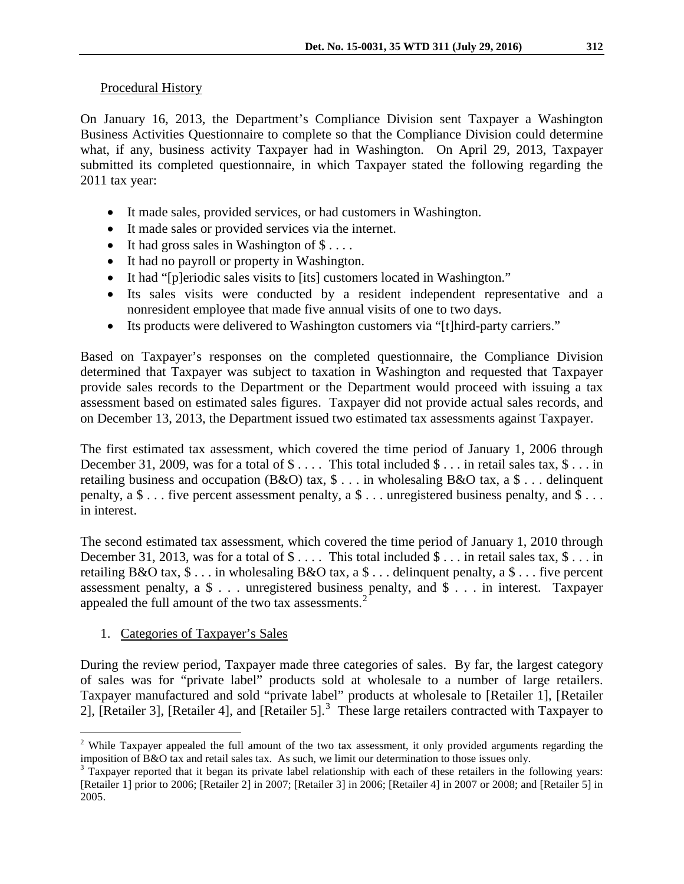## Procedural History

On January 16, 2013, the Department's Compliance Division sent Taxpayer a Washington Business Activities Questionnaire to complete so that the Compliance Division could determine what, if any, business activity Taxpayer had in Washington. On April 29, 2013, Taxpayer submitted its completed questionnaire, in which Taxpayer stated the following regarding the 2011 tax year:

- It made sales, provided services, or had customers in Washington.
- It made sales or provided services via the internet.
- It had gross sales in Washington of  $\$\dots$ .
- It had no payroll or property in Washington.
- It had "[p]eriodic sales visits to [its] customers located in Washington."
- Its sales visits were conducted by a resident independent representative and a nonresident employee that made five annual visits of one to two days.
- Its products were delivered to Washington customers via "[t]hird-party carriers."

Based on Taxpayer's responses on the completed questionnaire, the Compliance Division determined that Taxpayer was subject to taxation in Washington and requested that Taxpayer provide sales records to the Department or the Department would proceed with issuing a tax assessment based on estimated sales figures. Taxpayer did not provide actual sales records, and on December 13, 2013, the Department issued two estimated tax assessments against Taxpayer.

The first estimated tax assessment, which covered the time period of January 1, 2006 through December 31, 2009, was for a total of  $\text{\$} \ldots$ . This total included  $\text{\$} \ldots$  in retail sales tax,  $\text{\$} \ldots$  in retailing business and occupation (B&O) tax, \$ . . . in wholesaling B&O tax, a \$ . . . delinquent penalty, a \$ . . . five percent assessment penalty, a \$ . . . unregistered business penalty, and \$ . . . in interest.

The second estimated tax assessment, which covered the time period of January 1, 2010 through December 31, 2013, was for a total of  $\$\ldots$ . This total included  $\$\ldots$  in retail sales tax,  $\$\ldots$  in retailing B&O tax,  $\$\dots$  in wholesaling B&O tax, a  $\$\dots$  delinquent penalty, a  $\$\dots$  five percent assessment penalty, a \$ . . . unregistered business penalty, and \$ . . . in interest. Taxpayer appealed the full amount of the two tax assessments.<sup>[2](#page-1-0)</sup>

1. Categories of Taxpayer's Sales

During the review period, Taxpayer made three categories of sales. By far, the largest category of sales was for "private label" products sold at wholesale to a number of large retailers. Taxpayer manufactured and sold "private label" products at wholesale to [Retailer 1], [Retailer 2], [Retailer [3](#page-1-1)], [Retailer 4], and [Retailer 5].<sup>3</sup> These large retailers contracted with Taxpayer to

<span id="page-1-0"></span><sup>&</sup>lt;sup>2</sup> While Taxpayer appealed the full amount of the two tax assessment, it only provided arguments regarding the imposition of B&O tax and retail sales tax. As such, we limit our determination to those issues only.

<span id="page-1-1"></span> $3$  Taxpayer reported that it began its private label relationship with each of these retailers in the following years: [Retailer 1] prior to 2006; [Retailer 2] in 2007; [Retailer 3] in 2006; [Retailer 4] in 2007 or 2008; and [Retailer 5] in 2005.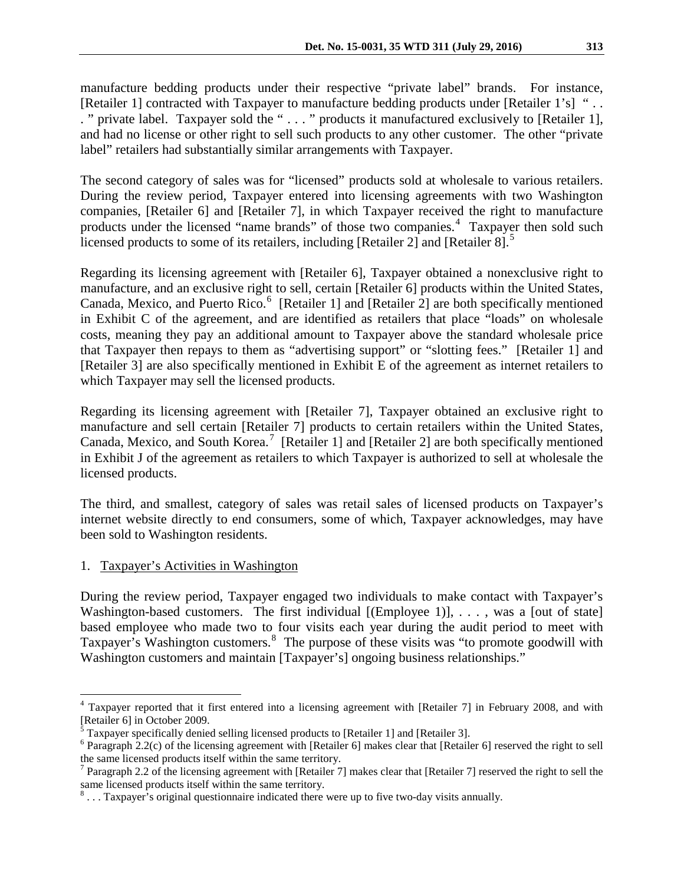manufacture bedding products under their respective "private label" brands. For instance, [Retailer 1] contracted with Taxpayer to manufacture bedding products under [Retailer 1's] "... . " private label. Taxpayer sold the " . . . " products it manufactured exclusively to [Retailer 1], and had no license or other right to sell such products to any other customer. The other "private label" retailers had substantially similar arrangements with Taxpayer.

The second category of sales was for "licensed" products sold at wholesale to various retailers. During the review period, Taxpayer entered into licensing agreements with two Washington companies, [Retailer 6] and [Retailer 7], in which Taxpayer received the right to manufacture products under the licensed "name brands" of those two companies.<sup>[4](#page-2-0)</sup> Taxpayer then sold such licensed products to some of its retailers, including [Retailer 2] and [Retailer 8].<sup>[5](#page-2-1)</sup>

Regarding its licensing agreement with [Retailer 6], Taxpayer obtained a nonexclusive right to manufacture, and an exclusive right to sell, certain [Retailer 6] products within the United States, Canada, Mexico, and Puerto Rico.  $6$  [Retailer 1] and [Retailer 2] are both specifically mentioned in Exhibit C of the agreement, and are identified as retailers that place "loads" on wholesale costs, meaning they pay an additional amount to Taxpayer above the standard wholesale price that Taxpayer then repays to them as "advertising support" or "slotting fees." [Retailer 1] and [Retailer 3] are also specifically mentioned in Exhibit E of the agreement as internet retailers to which Taxpayer may sell the licensed products.

Regarding its licensing agreement with [Retailer 7], Taxpayer obtained an exclusive right to manufacture and sell certain [Retailer 7] products to certain retailers within the United States, Canada, Mexico, and South Korea.<sup>[7](#page-2-3)</sup> [Retailer 1] and [Retailer 2] are both specifically mentioned in Exhibit J of the agreement as retailers to which Taxpayer is authorized to sell at wholesale the licensed products.

The third, and smallest, category of sales was retail sales of licensed products on Taxpayer's internet website directly to end consumers, some of which, Taxpayer acknowledges, may have been sold to Washington residents.

#### 1. Taxpayer's Activities in Washington

During the review period, Taxpayer engaged two individuals to make contact with Taxpayer's Washington-based customers. The first individual  $[(Emplovec 1)], \ldots$ , was a [out of state] based employee who made two to four visits each year during the audit period to meet with Taxpayer's Washington customers.<sup>[8](#page-2-4)</sup> The purpose of these visits was "to promote goodwill with Washington customers and maintain [Taxpayer's] ongoing business relationships."

<span id="page-2-0"></span><sup>&</sup>lt;sup>4</sup> Taxpayer reported that it first entered into a licensing agreement with [Retailer 7] in February 2008, and with [Retailer 6] in October 2009.

<span id="page-2-1"></span> $<sup>5</sup>$  Taxpayer specifically denied selling licensed products to [Retailer 1] and [Retailer 3].</sup>

<span id="page-2-2"></span> $6$  Paragraph 2.2(c) of the licensing agreement with [Retailer 6] makes clear that [Retailer 6] reserved the right to sell the same licensed products itself within the same territory.

<span id="page-2-3"></span><sup>&</sup>lt;sup>7</sup> Paragraph 2.2 of the licensing agreement with [Retailer 7] makes clear that [Retailer 7] reserved the right to sell the same licensed products itself within the same territory.<br><sup>8</sup> . . . Taxpayer's original questionnaire indicated there were up to five two-day visits annually.

<span id="page-2-4"></span>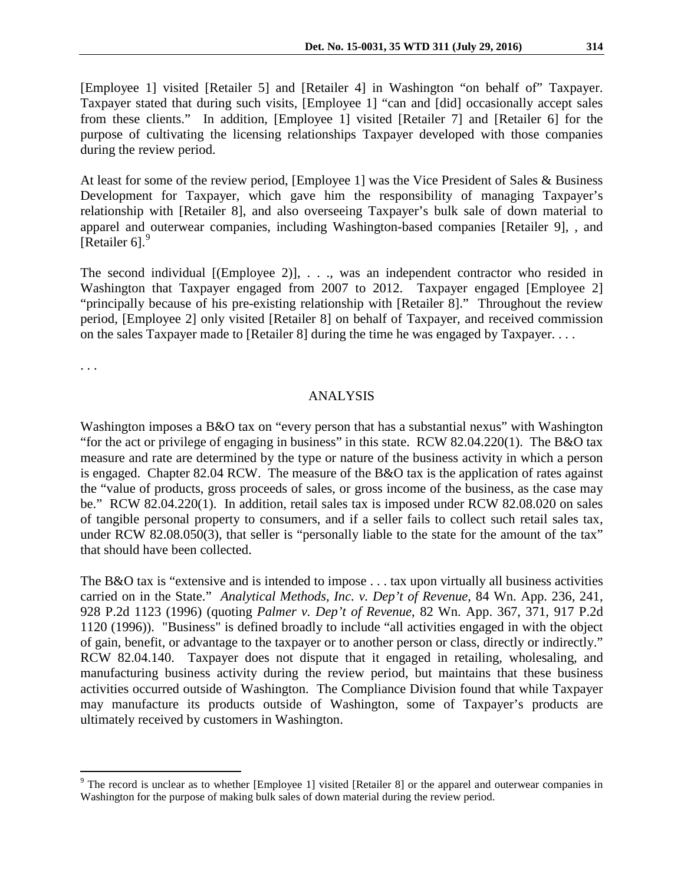[Employee 1] visited [Retailer 5] and [Retailer 4] in Washington "on behalf of" Taxpayer. Taxpayer stated that during such visits, [Employee 1] "can and [did] occasionally accept sales from these clients." In addition, [Employee 1] visited [Retailer 7] and [Retailer 6] for the purpose of cultivating the licensing relationships Taxpayer developed with those companies during the review period.

At least for some of the review period, [Employee 1] was the Vice President of Sales & Business Development for Taxpayer, which gave him the responsibility of managing Taxpayer's relationship with [Retailer 8], and also overseeing Taxpayer's bulk sale of down material to apparel and outerwear companies, including Washington-based companies [Retailer 9], , and [Retailer 6].<sup>[9](#page-3-0)</sup>

The second individual  $[ (Employee 2)], \ldots, was an independent contractor who reside in$ Washington that Taxpayer engaged from 2007 to 2012. Taxpayer engaged [Employee 2] "principally because of his pre-existing relationship with [Retailer 8]." Throughout the review period, [Employee 2] only visited [Retailer 8] on behalf of Taxpayer, and received commission on the sales Taxpayer made to [Retailer 8] during the time he was engaged by Taxpayer. . . .

. . .

## ANALYSIS

Washington imposes a B&O tax on "every person that has a substantial nexus" with Washington "for the act or privilege of engaging in business" in this state. RCW 82.04.220(1). The B&O tax measure and rate are determined by the type or nature of the business activity in which a person is engaged. Chapter 82.04 RCW. The measure of the B&O tax is the application of rates against the "value of products, gross proceeds of sales, or gross income of the business, as the case may be." RCW 82.04.220(1). In addition, retail sales tax is imposed under RCW 82.08.020 on sales of tangible personal property to consumers, and if a seller fails to collect such retail sales tax, under RCW 82.08.050(3), that seller is "personally liable to the state for the amount of the tax" that should have been collected.

The B&O tax is "extensive and is intended to impose . . . tax upon virtually all business activities carried on in the State." *Analytical Methods, Inc. v. Dep't of Revenue*, 84 Wn. App. 236, 241, 928 P.2d 1123 (1996) (quoting *Palmer v. Dep't of Revenue*, 82 Wn. App. 367, 371, 917 P.2d 1120 (1996)). "Business" is defined broadly to include "all activities engaged in with the object of gain, benefit, or advantage to the taxpayer or to another person or class, directly or indirectly." RCW 82.04.140. Taxpayer does not dispute that it engaged in retailing, wholesaling, and manufacturing business activity during the review period, but maintains that these business activities occurred outside of Washington. The Compliance Division found that while Taxpayer may manufacture its products outside of Washington, some of Taxpayer's products are ultimately received by customers in Washington.

<span id="page-3-0"></span> $9$  The record is unclear as to whether [Employee 1] visited [Retailer 8] or the apparel and outerwear companies in Washington for the purpose of making bulk sales of down material during the review period.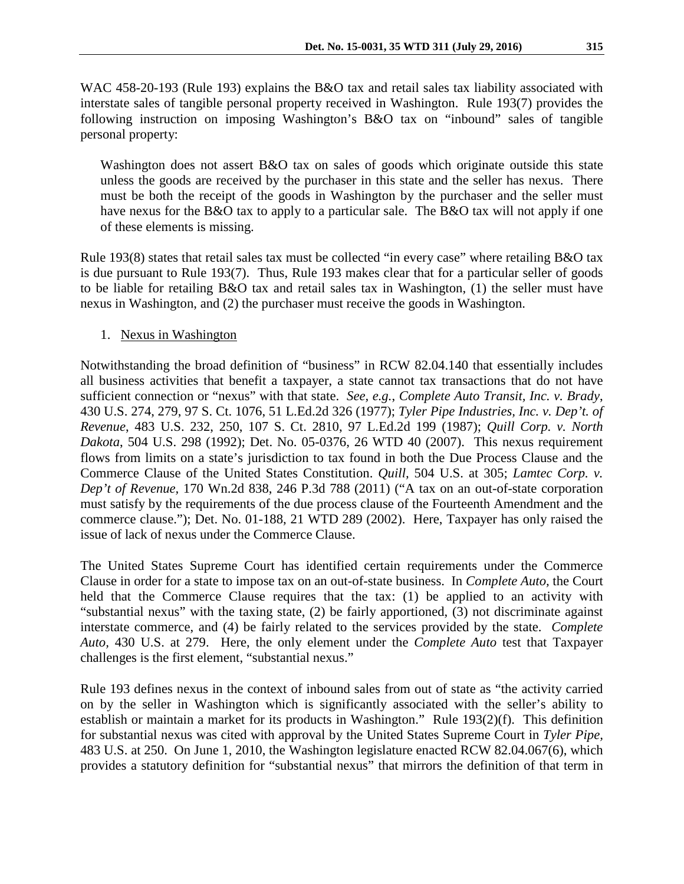WAC 458-20-193 (Rule 193) explains the B&O tax and retail sales tax liability associated with interstate sales of tangible personal property received in Washington. Rule 193(7) provides the following instruction on imposing Washington's B&O tax on "inbound" sales of tangible personal property:

Washington does not assert B&O tax on sales of goods which originate outside this state unless the goods are received by the purchaser in this state and the seller has nexus. There must be both the receipt of the goods in Washington by the purchaser and the seller must have nexus for the B&O tax to apply to a particular sale. The B&O tax will not apply if one of these elements is missing.

Rule 193(8) states that retail sales tax must be collected "in every case" where retailing B&O tax is due pursuant to Rule 193(7). Thus, Rule 193 makes clear that for a particular seller of goods to be liable for retailing B&O tax and retail sales tax in Washington, (1) the seller must have nexus in Washington, and (2) the purchaser must receive the goods in Washington.

## 1. Nexus in Washington

Notwithstanding the broad definition of "business" in RCW 82.04.140 that essentially includes all business activities that benefit a taxpayer, a state cannot tax transactions that do not have sufficient connection or "nexus" with that state. *See, e.g.*, *Complete Auto Transit, Inc. v. Brady*, 430 U.S. 274, 279, 97 S. Ct. 1076, 51 L.Ed.2d 326 (1977); *Tyler Pipe Industries, Inc. v. Dep't. of Revenue*, 483 U.S. 232, 250, 107 S. Ct. 2810, 97 L.Ed.2d 199 (1987); *Quill Corp. v. North Dakota*, 504 U.S. 298 (1992); Det. No. 05-0376, 26 WTD 40 (2007). This nexus requirement flows from limits on a state's jurisdiction to tax found in both the Due Process Clause and the Commerce Clause of the United States Constitution. *Quill,* 504 U.S. at 305; *Lamtec Corp. v. Dep't of Revenue,* 170 Wn.2d 838, 246 P.3d 788 (2011) ("A tax on an out-of-state corporation must satisfy by the requirements of the due process clause of the Fourteenth Amendment and the commerce clause."); Det. No. 01-188, 21 WTD 289 (2002). Here, Taxpayer has only raised the issue of lack of nexus under the Commerce Clause.

The United States Supreme Court has identified certain requirements under the Commerce Clause in order for a state to impose tax on an out-of-state business. In *Complete Auto,* the Court held that the Commerce Clause requires that the tax: (1) be applied to an activity with "substantial nexus" with the taxing state, (2) be fairly apportioned, (3) not discriminate against interstate commerce, and (4) be fairly related to the services provided by the state. *Complete Auto,* 430 U.S. at 279. Here, the only element under the *Complete Auto* test that Taxpayer challenges is the first element, "substantial nexus."

Rule 193 defines nexus in the context of inbound sales from out of state as "the activity carried on by the seller in Washington which is significantly associated with the seller's ability to establish or maintain a market for its products in Washington." Rule 193(2)(f). This definition for substantial nexus was cited with approval by the United States Supreme Court in *Tyler Pipe,*  483 U.S. at 250. On June 1, 2010, the Washington legislature enacted RCW 82.04.067(6), which provides a statutory definition for "substantial nexus" that mirrors the definition of that term in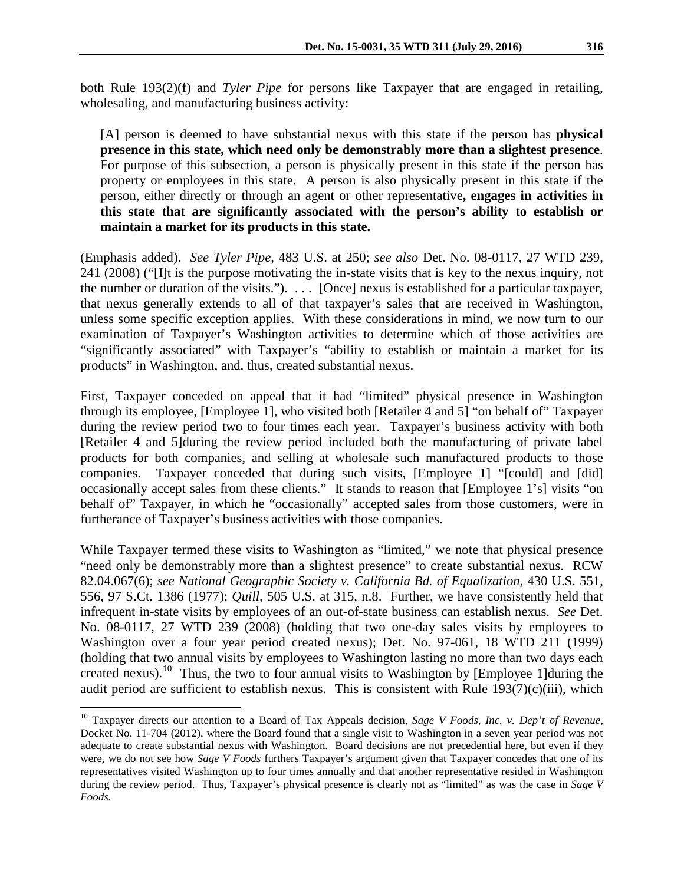both Rule 193(2)(f) and *Tyler Pipe* for persons like Taxpayer that are engaged in retailing, wholesaling, and manufacturing business activity:

[A] person is deemed to have substantial nexus with this state if the person has **physical presence in this state, which need only be demonstrably more than a slightest presence**. For purpose of this subsection, a person is physically present in this state if the person has property or employees in this state. A person is also physically present in this state if the person, either directly or through an agent or other representative**, engages in activities in this state that are significantly associated with the person's ability to establish or maintain a market for its products in this state.**

(Emphasis added). *See Tyler Pipe,* 483 U.S. at 250; *see also* Det. No. 08-0117, 27 WTD 239, 241 (2008) ("[I]t is the purpose motivating the in-state visits that is key to the nexus inquiry, not the number or duration of the visits."). . . . [Once] nexus is established for a particular taxpayer, that nexus generally extends to all of that taxpayer's sales that are received in Washington, unless some specific exception applies. With these considerations in mind, we now turn to our examination of Taxpayer's Washington activities to determine which of those activities are "significantly associated" with Taxpayer's "ability to establish or maintain a market for its products" in Washington, and, thus, created substantial nexus.

First, Taxpayer conceded on appeal that it had "limited" physical presence in Washington through its employee, [Employee 1], who visited both [Retailer 4 and 5] "on behalf of" Taxpayer during the review period two to four times each year. Taxpayer's business activity with both [Retailer 4 and 5]during the review period included both the manufacturing of private label products for both companies, and selling at wholesale such manufactured products to those companies. Taxpayer conceded that during such visits, [Employee 1] "[could] and [did] occasionally accept sales from these clients." It stands to reason that [Employee 1's] visits "on behalf of" Taxpayer, in which he "occasionally" accepted sales from those customers, were in furtherance of Taxpayer's business activities with those companies.

While Taxpayer termed these visits to Washington as "limited," we note that physical presence "need only be demonstrably more than a slightest presence" to create substantial nexus. RCW 82.04.067(6); *see National Geographic Society v. California Bd. of Equalization,* 430 U.S. 551, 556, 97 S.Ct. 1386 (1977); *Quill,* 505 U.S. at 315, n.8. Further, we have consistently held that infrequent in-state visits by employees of an out-of-state business can establish nexus. *See* Det. No. 08-0117, 27 WTD 239 (2008) (holding that two one-day sales visits by employees to Washington over a four year period created nexus); Det. No. 97-061, 18 WTD 211 (1999) (holding that two annual visits by employees to Washington lasting no more than two days each created nexus).<sup>10</sup> Thus, the two to four annual visits to Washington by [Employee 1]during the audit period are sufficient to establish nexus. This is consistent with Rule 193(7)(c)(iii), which

<span id="page-5-0"></span><sup>&</sup>lt;sup>10</sup> Taxpayer directs our attention to a Board of Tax Appeals decision, *Sage V Foods, Inc. v. Dep't of Revenue*, Docket No. 11-704 (2012), where the Board found that a single visit to Washington in a seven year period was not adequate to create substantial nexus with Washington. Board decisions are not precedential here, but even if they were, we do not see how *Sage V Foods* furthers Taxpayer's argument given that Taxpayer concedes that one of its representatives visited Washington up to four times annually and that another representative resided in Washington during the review period. Thus, Taxpayer's physical presence is clearly not as "limited" as was the case in *Sage V Foods.*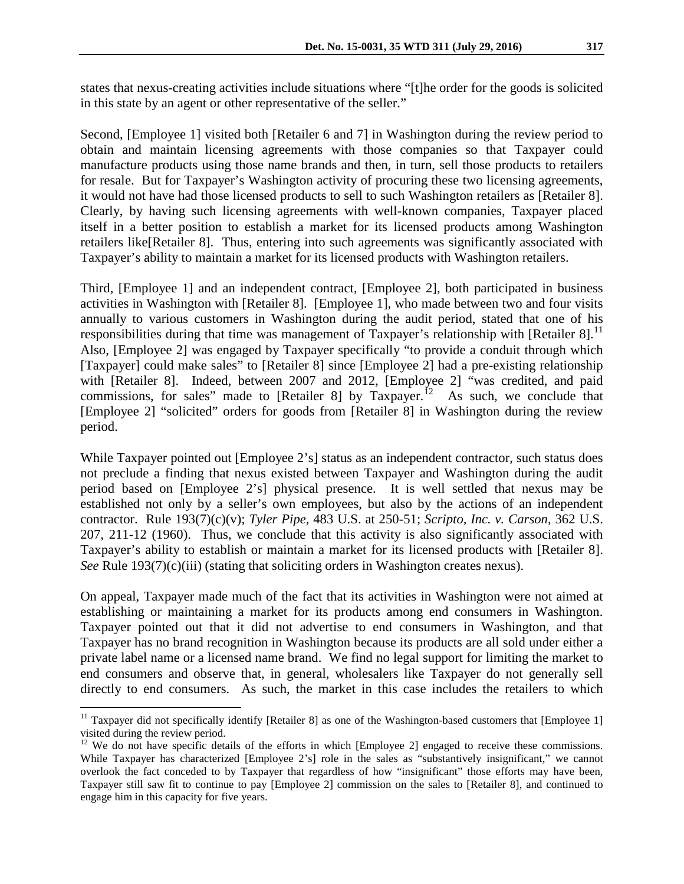states that nexus-creating activities include situations where "[t]he order for the goods is solicited in this state by an agent or other representative of the seller."

Second, [Employee 1] visited both [Retailer 6 and 7] in Washington during the review period to obtain and maintain licensing agreements with those companies so that Taxpayer could manufacture products using those name brands and then, in turn, sell those products to retailers for resale. But for Taxpayer's Washington activity of procuring these two licensing agreements, it would not have had those licensed products to sell to such Washington retailers as [Retailer 8]. Clearly, by having such licensing agreements with well-known companies, Taxpayer placed itself in a better position to establish a market for its licensed products among Washington retailers like[Retailer 8]. Thus, entering into such agreements was significantly associated with Taxpayer's ability to maintain a market for its licensed products with Washington retailers.

Third, [Employee 1] and an independent contract, [Employee 2], both participated in business activities in Washington with [Retailer 8]. [Employee 1], who made between two and four visits annually to various customers in Washington during the audit period, stated that one of his responsibilities during that time was management of Taxpayer's relationship with [Retailer 8].<sup>[11](#page-6-0)</sup> Also, [Employee 2] was engaged by Taxpayer specifically "to provide a conduit through which [Taxpayer] could make sales" to [Retailer 8] since [Employee 2] had a pre-existing relationship with [Retailer 8]. Indeed, between 2007 and 2012, [Employee 2] "was credited, and paid commissions, for sales" made to [Retailer 8] by  $Taxpayer.<sup>12</sup>$  As such, we conclude that [Employee 2] "solicited" orders for goods from [Retailer 8] in Washington during the review period.

While Taxpayer pointed out [Employee 2's] status as an independent contractor, such status does not preclude a finding that nexus existed between Taxpayer and Washington during the audit period based on [Employee 2's] physical presence. It is well settled that nexus may be established not only by a seller's own employees, but also by the actions of an independent contractor. Rule 193(7)(c)(v); *Tyler Pipe,* 483 U.S. at 250-51; *Scripto, Inc. v. Carson,* 362 U.S. 207, 211-12 (1960). Thus, we conclude that this activity is also significantly associated with Taxpayer's ability to establish or maintain a market for its licensed products with [Retailer 8]. *See* Rule 193(7)(c)(iii) (stating that soliciting orders in Washington creates nexus).

On appeal, Taxpayer made much of the fact that its activities in Washington were not aimed at establishing or maintaining a market for its products among end consumers in Washington. Taxpayer pointed out that it did not advertise to end consumers in Washington, and that Taxpayer has no brand recognition in Washington because its products are all sold under either a private label name or a licensed name brand. We find no legal support for limiting the market to end consumers and observe that, in general, wholesalers like Taxpayer do not generally sell directly to end consumers. As such, the market in this case includes the retailers to which

<span id="page-6-0"></span> $11$  Taxpayer did not specifically identify [Retailer 8] as one of the Washington-based customers that [Employee 1] visited during the review period.

<span id="page-6-1"></span><sup>&</sup>lt;sup>12</sup> We do not have specific details of the efforts in which [Employee 2] engaged to receive these commissions. While Taxpayer has characterized [Employee 2's] role in the sales as "substantively insignificant," we cannot overlook the fact conceded to by Taxpayer that regardless of how "insignificant" those efforts may have been, Taxpayer still saw fit to continue to pay [Employee 2] commission on the sales to [Retailer 8], and continued to engage him in this capacity for five years.